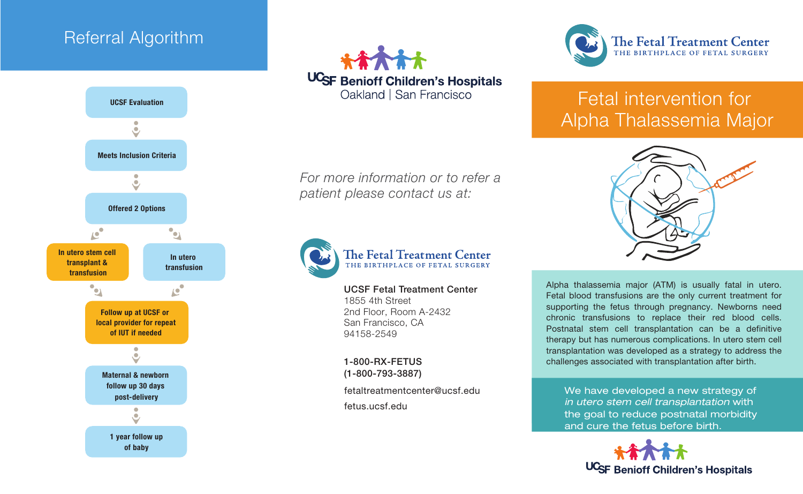## Referral Algorithm





*For more information or to refer a patient please contact us at:*



# The Fetal Treatment Center

UCSF Fetal Treatment Center 1855 4th Street 2nd Floor, Room A-2432 San Francisco, CA 94158-2549

1-800-RX-FETUS (1-800-793-3887)

fetaltreatmentcenter@ucsf.edu fetus.ucsf.edu



# Fetal intervention for Alpha Thalassemia Major



Alpha thalassemia major (ATM) is usually fatal in utero. Fetal blood transfusions are the only current treatment for supporting the fetus through pregnancy. Newborns need chronic transfusions to replace their red blood cells. Postnatal stem cell transplantation can be a definitive therapy but has numerous complications. In utero stem cell transplantation was developed as a strategy to address the challenges associated with transplantation after birth.

We have developed a new strategy of in utero stem cell transplantation with the goal to reduce postnatal morbidity and cure the fetus before birth.